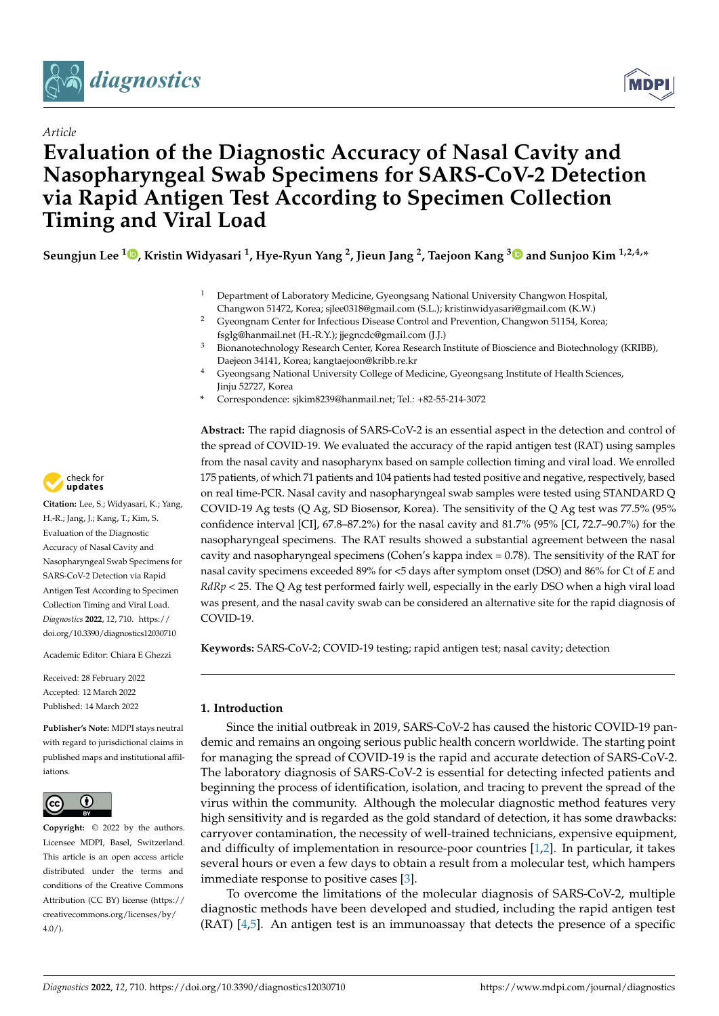



# **Evaluation of the Diagnostic Accuracy of Nasal Cavity and Nasopharyngeal Swab Specimens for SARS-CoV-2 Detection via Rapid Antigen Test According to Specimen Collection Timing and Viral Load**

**Seungjun Lee <sup>1</sup> [,](https://orcid.org/0000-0002-3377-4833) Kristin Widyasari <sup>1</sup> , Hye-Ryun Yang <sup>2</sup> , Jieun Jang <sup>2</sup> , Taejoon Kang [3](https://orcid.org/0000-0002-5387-6458) and Sunjoo Kim 1,2,4,\***

- <sup>1</sup> Department of Laboratory Medicine, Gyeongsang National University Changwon Hospital, Changwon 51472, Korea; sjlee0318@gmail.com (S.L.); kristinwidyasari@gmail.com (K.W.)
- <sup>2</sup> Gyeongnam Center for Infectious Disease Control and Prevention, Changwon 51154, Korea; fsglg@hanmail.net (H.-R.Y.); jjegncdc@gmail.com (J.J.)
- <sup>3</sup> Bionanotechnology Research Center, Korea Research Institute of Bioscience and Biotechnology (KRIBB), Daejeon 34141, Korea; kangtaejoon@kribb.re.kr
- <sup>4</sup> Gyeongsang National University College of Medicine, Gyeongsang Institute of Health Sciences, Jinju 52727, Korea
- **\*** Correspondence: sjkim8239@hanmail.net; Tel.: +82-55-214-3072

**Abstract:** The rapid diagnosis of SARS-CoV-2 is an essential aspect in the detection and control of the spread of COVID-19. We evaluated the accuracy of the rapid antigen test (RAT) using samples from the nasal cavity and nasopharynx based on sample collection timing and viral load. We enrolled 175 patients, of which 71 patients and 104 patients had tested positive and negative, respectively, based on real time-PCR. Nasal cavity and nasopharyngeal swab samples were tested using STANDARD Q COVID-19 Ag tests (Q Ag, SD Biosensor, Korea). The sensitivity of the Q Ag test was 77.5% (95% confidence interval [CI], 67.8–87.2%) for the nasal cavity and 81.7% (95% [CI, 72.7–90.7%) for the nasopharyngeal specimens. The RAT results showed a substantial agreement between the nasal cavity and nasopharyngeal specimens (Cohen's kappa index = 0.78). The sensitivity of the RAT for nasal cavity specimens exceeded 89% for <5 days after symptom onset (DSO) and 86% for Ct of *E* and *RdRp* < 25. The Q Ag test performed fairly well, especially in the early DSO when a high viral load was present, and the nasal cavity swab can be considered an alternative site for the rapid diagnosis of COVID-19.

**Keywords:** SARS-CoV-2; COVID-19 testing; rapid antigen test; nasal cavity; detection

# **1. Introduction**

Since the initial outbreak in 2019, SARS-CoV-2 has caused the historic COVID-19 pandemic and remains an ongoing serious public health concern worldwide. The starting point for managing the spread of COVID-19 is the rapid and accurate detection of SARS-CoV-2. The laboratory diagnosis of SARS-CoV-2 is essential for detecting infected patients and beginning the process of identification, isolation, and tracing to prevent the spread of the virus within the community. Although the molecular diagnostic method features very high sensitivity and is regarded as the gold standard of detection, it has some drawbacks: carryover contamination, the necessity of well-trained technicians, expensive equipment, and difficulty of implementation in resource-poor countries [\[1](#page-9-0)[,2\]](#page-9-1). In particular, it takes several hours or even a few days to obtain a result from a molecular test, which hampers immediate response to positive cases [\[3\]](#page-9-2).

To overcome the limitations of the molecular diagnosis of SARS-CoV-2, multiple diagnostic methods have been developed and studied, including the rapid antigen test (RAT) [\[4](#page-9-3)[,5\]](#page-9-4). An antigen test is an immunoassay that detects the presence of a specific



**Citation:** Lee, S.; Widyasari, K.; Yang, H.-R.; Jang, J.; Kang, T.; Kim, S. Evaluation of the Diagnostic Accuracy of Nasal Cavity and Nasopharyngeal Swab Specimens for SARS-CoV-2 Detection via Rapid Antigen Test According to Specimen Collection Timing and Viral Load. *Diagnostics* **2022**, *12*, 710. [https://](https://doi.org/10.3390/diagnostics12030710) [doi.org/10.3390/diagnostics12030710](https://doi.org/10.3390/diagnostics12030710)

Academic Editor: Chiara E Ghezzi

Received: 28 February 2022 Accepted: 12 March 2022 Published: 14 March 2022

**Publisher's Note:** MDPI stays neutral with regard to jurisdictional claims in published maps and institutional affiliations.



**Copyright:** © 2022 by the authors. Licensee MDPI, Basel, Switzerland. This article is an open access article distributed under the terms and conditions of the Creative Commons Attribution (CC BY) license [\(https://](https://creativecommons.org/licenses/by/4.0/) [creativecommons.org/licenses/by/](https://creativecommons.org/licenses/by/4.0/)  $4.0/$ ).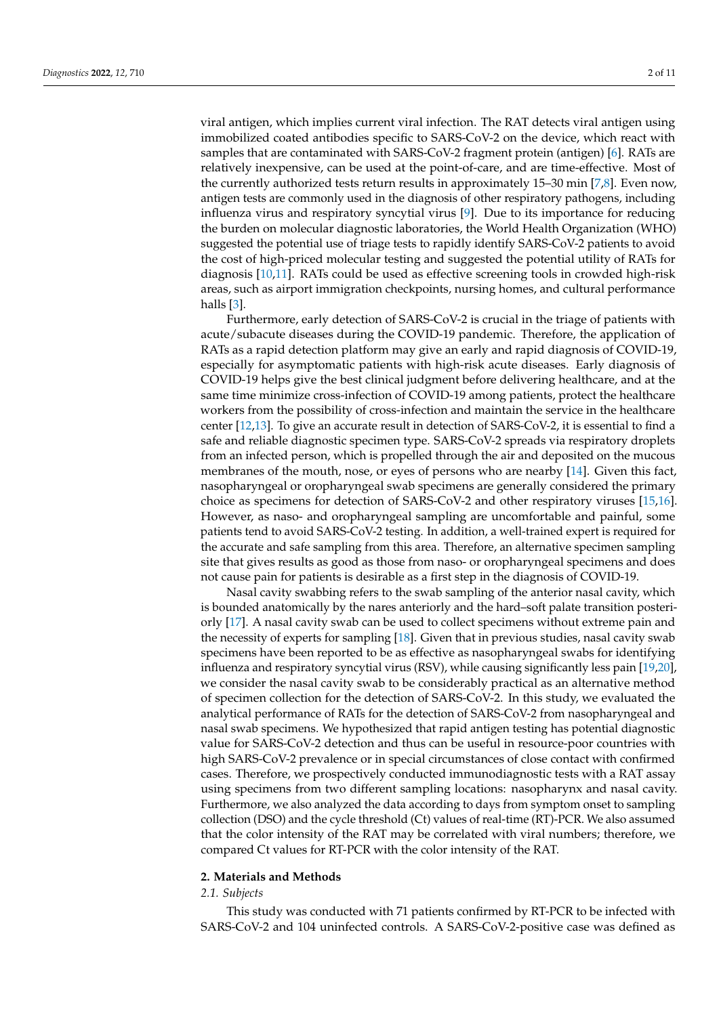viral antigen, which implies current viral infection. The RAT detects viral antigen using immobilized coated antibodies specific to SARS-CoV-2 on the device, which react with samples that are contaminated with SARS-CoV-2 fragment protein (antigen) [\[6\]](#page-9-5). RATs are relatively inexpensive, can be used at the point-of-care, and are time-effective. Most of the currently authorized tests return results in approximately 15–30 min [\[7,](#page-9-6)[8\]](#page-9-7). Even now, antigen tests are commonly used in the diagnosis of other respiratory pathogens, including influenza virus and respiratory syncytial virus [\[9\]](#page-9-8). Due to its importance for reducing the burden on molecular diagnostic laboratories, the World Health Organization (WHO) suggested the potential use of triage tests to rapidly identify SARS-CoV-2 patients to avoid the cost of high-priced molecular testing and suggested the potential utility of RATs for diagnosis [\[10,](#page-9-9)[11\]](#page-9-10). RATs could be used as effective screening tools in crowded high-risk areas, such as airport immigration checkpoints, nursing homes, and cultural performance halls [\[3\]](#page-9-2).

Furthermore, early detection of SARS-CoV-2 is crucial in the triage of patients with acute/subacute diseases during the COVID-19 pandemic. Therefore, the application of RATs as a rapid detection platform may give an early and rapid diagnosis of COVID-19, especially for asymptomatic patients with high-risk acute diseases. Early diagnosis of COVID-19 helps give the best clinical judgment before delivering healthcare, and at the same time minimize cross-infection of COVID-19 among patients, protect the healthcare workers from the possibility of cross-infection and maintain the service in the healthcare center [\[12,](#page-9-11)[13\]](#page-9-12). To give an accurate result in detection of SARS-CoV-2, it is essential to find a safe and reliable diagnostic specimen type. SARS-CoV-2 spreads via respiratory droplets from an infected person, which is propelled through the air and deposited on the mucous membranes of the mouth, nose, or eyes of persons who are nearby [\[14\]](#page-9-13). Given this fact, nasopharyngeal or oropharyngeal swab specimens are generally considered the primary choice as specimens for detection of SARS-CoV-2 and other respiratory viruses [\[15,](#page-9-14)[16\]](#page-9-15). However, as naso- and oropharyngeal sampling are uncomfortable and painful, some patients tend to avoid SARS-CoV-2 testing. In addition, a well-trained expert is required for the accurate and safe sampling from this area. Therefore, an alternative specimen sampling site that gives results as good as those from naso- or oropharyngeal specimens and does not cause pain for patients is desirable as a first step in the diagnosis of COVID-19.

Nasal cavity swabbing refers to the swab sampling of the anterior nasal cavity, which is bounded anatomically by the nares anteriorly and the hard–soft palate transition posteriorly [\[17\]](#page-9-16). A nasal cavity swab can be used to collect specimens without extreme pain and the necessity of experts for sampling [\[18\]](#page-9-17). Given that in previous studies, nasal cavity swab specimens have been reported to be as effective as nasopharyngeal swabs for identifying influenza and respiratory syncytial virus (RSV), while causing significantly less pain [\[19](#page-9-18)[,20\]](#page-9-19), we consider the nasal cavity swab to be considerably practical as an alternative method of specimen collection for the detection of SARS-CoV-2. In this study, we evaluated the analytical performance of RATs for the detection of SARS-CoV-2 from nasopharyngeal and nasal swab specimens. We hypothesized that rapid antigen testing has potential diagnostic value for SARS-CoV-2 detection and thus can be useful in resource-poor countries with high SARS-CoV-2 prevalence or in special circumstances of close contact with confirmed cases. Therefore, we prospectively conducted immunodiagnostic tests with a RAT assay using specimens from two different sampling locations: nasopharynx and nasal cavity. Furthermore, we also analyzed the data according to days from symptom onset to sampling collection (DSO) and the cycle threshold (Ct) values of real-time (RT)-PCR. We also assumed that the color intensity of the RAT may be correlated with viral numbers; therefore, we compared Ct values for RT-PCR with the color intensity of the RAT.

# **2. Materials and Methods**

# *2.1. Subjects*

This study was conducted with 71 patients confirmed by RT-PCR to be infected with SARS-CoV-2 and 104 uninfected controls. A SARS-CoV-2-positive case was defined as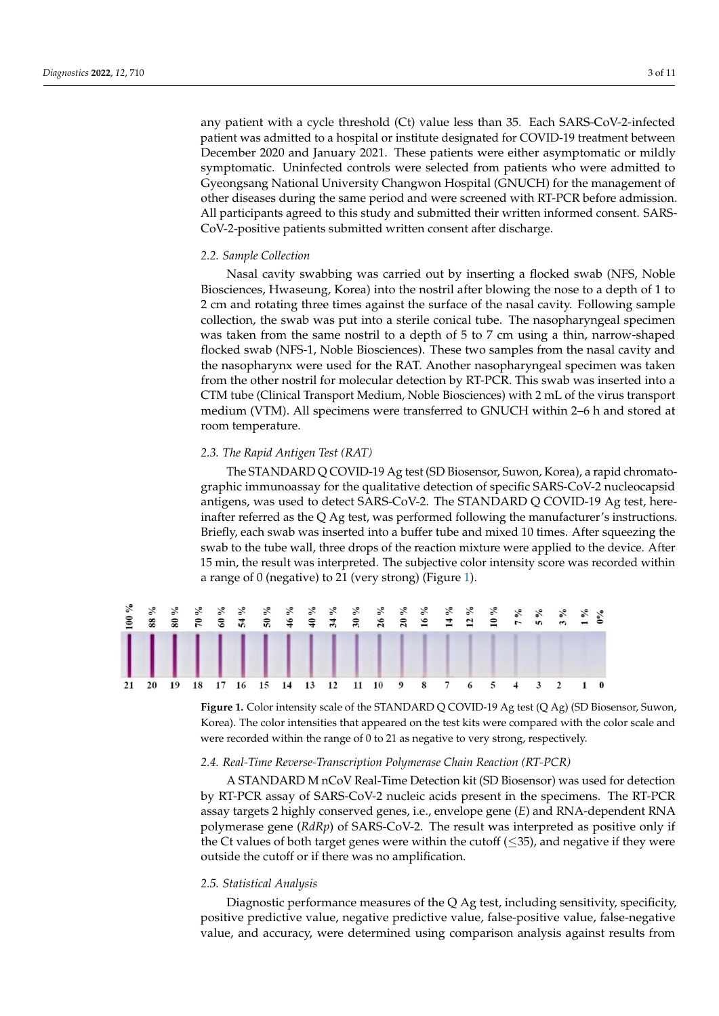any patient with a cycle threshold (Ct) value less than 35. Each SARS-CoV-2-infected patient was admitted to a hospital or institute designated for COVID-19 treatment between particle and and the control of the patients were either asymptomatic or mildly December 2020 and January 2021. These patients were either asymptomatic or mildly symptomatic. Uninfected controls were selected from patients who were admitted to  $\rm\acute{G}yeo}$ ngsang National University Changwon Hospital (GNUCH) for the management of other diseases during the same period and were screened with RT-PCR before admission. All participants agreed to this study and submitted their written informed consent. SARS-CoV-2-positive patients submitted written consent after discharge. *2.2. Sample Collection*

# 2.2. Sample Collection

Nasal cavity swabbing was carried out by inserting a flocked swab (NFS, Noble Biosciences, Hwaseung, Korea) into the nostril after blowing the nose to a depth of 1 to 2 cm and rotating three times against the surface of the nasal cavity. Following sample collection, the swab was put into a sterile conical tube. The nasopharyngeal specimen was taken from the same nostril to a depth of 5 to 7 cm using a thin, narrow-shaped flocked swab (NFS-1, Noble Biosciences). These two samples from the nasal cavity and the nasopharynx were used for the RAT. Another nasopharyngeal specimen was taken from the other nostril for molecular detection by RT-PCR. This swab was inserted into a CTM tube (Clinical Transport Medium, Noble Biosciences) with 2 mL of the virus transport medium (VTM). All specimens were transferred to GNUCH within 2–6 h and stored at room temperature.

#### *2.3. The Rapid Antigen Test (RAT) 2.3. The Rapid Antigen Test (RAT)*

The STANDARD Q COVID-19 Ag test (SD Biosensor, Suwon, Korea), a rapid chromatographic immunoassay for the qualitative detection of specific SARS-CoV-2 nucleocapsid<br>clear to detect SARS-Covid-19 Age of the STANDARD Q COVID-19 Age to detect of antigens, was used to detect SARS-CoV-2. The STANDARD Q COVID-19 Ag test, hereinafter referred as the Q Ag test, was performed following the manufacturer's instructions.<br>Briefly, each swap was instructions and mixed tube and mixed in the manufacturer's instructions. Briefly, each swab was inserted into a buffer tube and mixed 10 times. After squeezing the reaction mixture were applied to the reaction mixture were applied to the tube wall, the reaction mixture were applied to the tube swab to the tube wall, three drops of the reaction mixture were applied to the device. After<br>15 min, the great was interpreted. The subjective color intensity scores were added within 15 min, the result was interpreted. The subjective color intensity score was recorded within<br>was recorded within a range of 0 (negative) to 21 (very strong) (Figure [1\)](#page-2-0).  $T$  standard  $T$  ag test (SD  $\alpha$  Biosensor, Suwon, Suwon, Suwon, Suwon, Korea), a rapid  $\alpha$  $\frac{1}{2}$  in  $\frac{1}{2}$  and  $\frac{1}{2}$  covers  $\frac{1}{2}$  and  $\frac{1}{2}$   $\frac{1}{2}$  is equalitative specific  $\frac{1}{2}$  nu-

<span id="page-2-0"></span>

Korea). The color intensities that appeared on the test kits were compared with the color scale and  $\frac{1}{2}$  superior intensity that appeared on the color intensity that appeared within the color  $\frac{1}{2}$  appearing to your change reconditions. were recorded within the range of  $0$  to 21 as negative to very strong, respectively. **Figure 1.** Color intensity scale of the STANDARD Q COVID-19 Ag test (Q Ag) (SD Biosensor, Suwon,

# *2.4. Real-Time Reverse-Transcription Polymerase Chain Reaction (RT-PCR)*

A STANDARD M nCoV Real-Time Detection kit (SD Biosensor) was used for detection by RT-PCR assay of SARS-CoV-2 nucleic acids present in the specimens. The RT-PCR assay targets 2 highly conserved genes, i.e., envelope gene (*E*) and RNA-dependent RNA polymerase gene (*RdRp*) of SARS-CoV-2. The result was interpreted as positive only if the Ct values of both target genes were within the cutoff (≤35), and negative if they were outside the cutoff or if there was no amplification.

# *2.5. Statistical Analysis*

Diagnostic performance measures of the Q Ag test, including sensitivity, specificity, positive predictive value, negative predictive value, false-positive value, false-negative value, and accuracy, were determined using comparison analysis against results from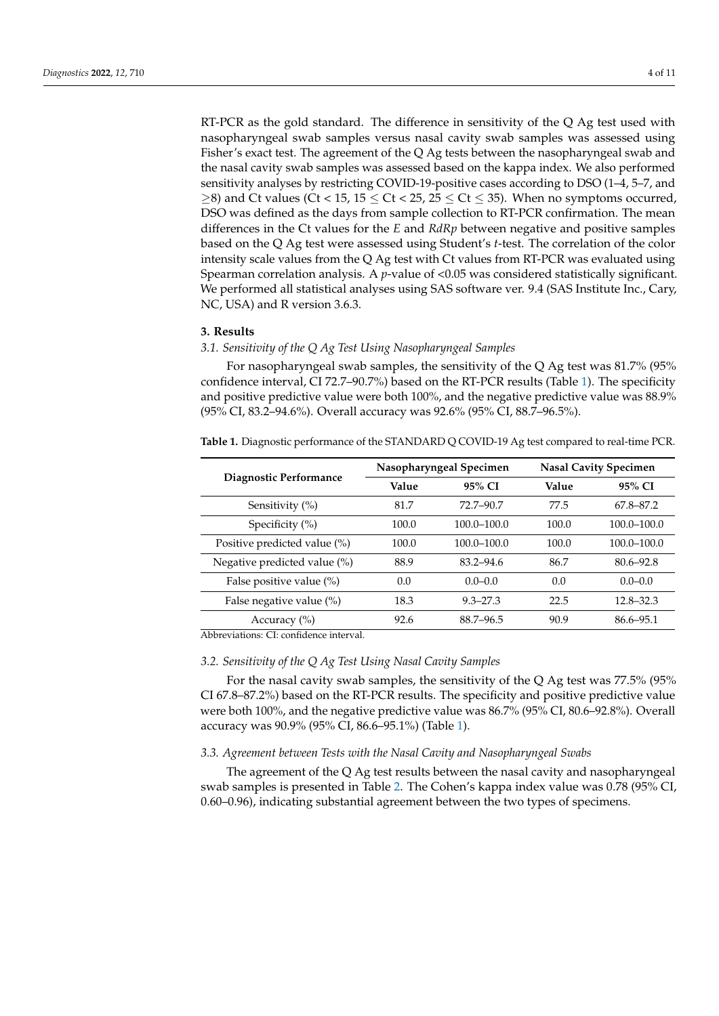RT-PCR as the gold standard. The difference in sensitivity of the Q Ag test used with nasopharyngeal swab samples versus nasal cavity swab samples was assessed using Fisher's exact test. The agreement of the Q Ag tests between the nasopharyngeal swab and the nasal cavity swab samples was assessed based on the kappa index. We also performed sensitivity analyses by restricting COVID-19-positive cases according to DSO (1–4, 5–7, and  $\geq$ 8) and Ct values (Ct < 15, 15  $\leq$  Ct < 25, 25  $\leq$  Ct  $\leq$  35). When no symptoms occurred, DSO was defined as the days from sample collection to RT-PCR confirmation. The mean differences in the Ct values for the *E* and *RdRp* between negative and positive samples based on the Q Ag test were assessed using Student's *t*-test. The correlation of the color intensity scale values from the Q Ag test with Ct values from RT-PCR was evaluated using Spearman correlation analysis. A *p*-value of <0.05 was considered statistically significant. We performed all statistical analyses using SAS software ver. 9.4 (SAS Institute Inc., Cary, NC, USA) and R version 3.6.3.

# **3. Results**

# *3.1. Sensitivity of the Q Ag Test Using Nasopharyngeal Samples*

For nasopharyngeal swab samples, the sensitivity of the Q Ag test was 81.7% (95% confidence interval, CI 72.7–90.7%) based on the RT-PCR results (Table [1\)](#page-3-0). The specificity and positive predictive value were both 100%, and the negative predictive value was 88.9% (95% CI, 83.2–94.6%). Overall accuracy was 92.6% (95% CI, 88.7–96.5%).

<span id="page-3-0"></span>**Table 1.** Diagnostic performance of the STANDARD Q COVID-19 Ag test compared to real-time PCR.

|                              |       |                                                                                                                                                                        | <b>Nasal Cavity Specimen</b> |                 |  |
|------------------------------|-------|------------------------------------------------------------------------------------------------------------------------------------------------------------------------|------------------------------|-----------------|--|
| Diagnostic Performance       | Value | Nasopharyngeal Specimen<br>95% CI<br>Value<br>72.7-90.7<br>77.5<br>$100.0 - 100.0$<br>100.0<br>$100.0 - 100.0$<br>100.0<br>$83.2 - 94.6$<br>86.7<br>0.0<br>$0.0 - 0.0$ |                              | 95% CI          |  |
| Sensitivity $(\% )$          | 81.7  |                                                                                                                                                                        |                              | 67.8–87.2       |  |
| Specificity $(\%)$           | 100.0 |                                                                                                                                                                        |                              | $100.0 - 100.0$ |  |
| Positive predicted value (%) | 100.0 |                                                                                                                                                                        |                              | $100.0 - 100.0$ |  |
| Negative predicted value (%) | 88.9  |                                                                                                                                                                        |                              | $80.6 - 92.8$   |  |
| False positive value $(\%)$  | 0.0   |                                                                                                                                                                        |                              | $0.0 - 0.0$     |  |
| False negative value (%)     | 18.3  | $9.3 - 27.3$                                                                                                                                                           | 22.5                         | $12.8 - 32.3$   |  |
| Accuracy $(\% )$             | 92.6  | 88.7-96.5                                                                                                                                                              | 90.9                         | $86.6 - 95.1$   |  |

Abbreviations: CI: confidence interval.

# *3.2. Sensitivity of the Q Ag Test Using Nasal Cavity Samples*

For the nasal cavity swab samples, the sensitivity of the Q Ag test was 77.5% (95% CI 67.8–87.2%) based on the RT-PCR results. The specificity and positive predictive value were both 100%, and the negative predictive value was 86.7% (95% CI, 80.6–92.8%). Overall accuracy was 90.9% (95% CI, 86.6–95.1%) (Table [1\)](#page-3-0).

# *3.3. Agreement between Tests with the Nasal Cavity and Nasopharyngeal Swabs*

The agreement of the Q Ag test results between the nasal cavity and nasopharyngeal swab samples is presented in Table [2.](#page-4-0) The Cohen's kappa index value was 0.78 (95% CI, 0.60–0.96), indicating substantial agreement between the two types of specimens.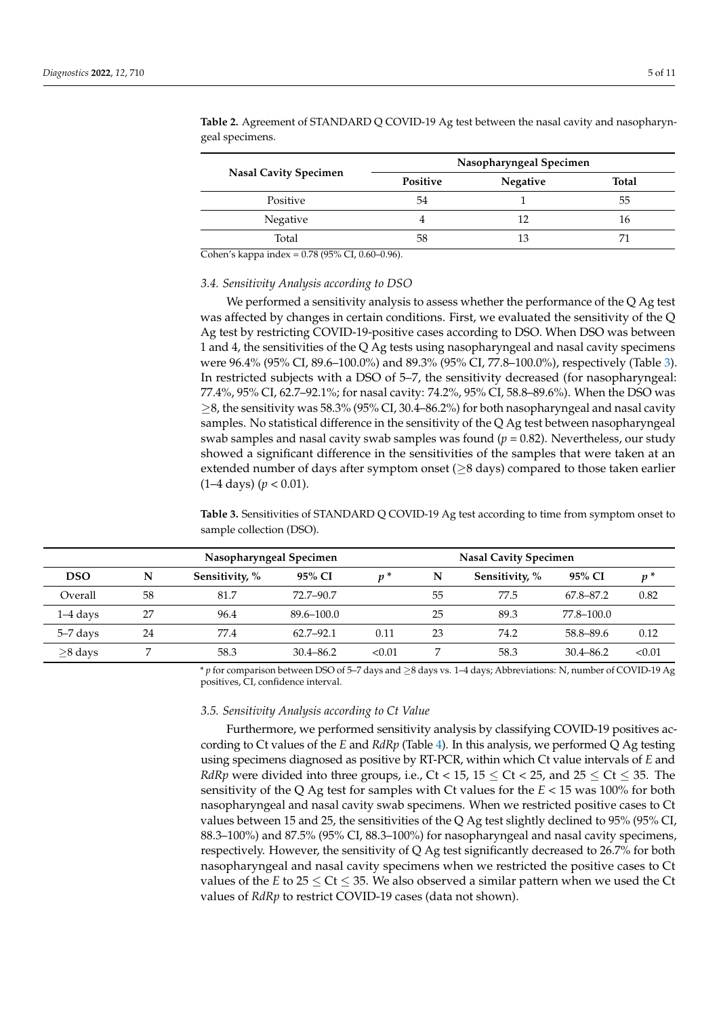|                              | Nasopharyngeal Specimen |                       |              |  |
|------------------------------|-------------------------|-----------------------|--------------|--|
| <b>Nasal Cavity Specimen</b> | <b>Positive</b>         | <b>Negative</b><br>13 | <b>Total</b> |  |
| Positive                     | 54                      |                       | 55           |  |
| Negative                     |                         |                       | 16           |  |
| Total                        | 58                      |                       |              |  |

<span id="page-4-0"></span>**Table 2.** Agreement of STANDARD Q COVID-19 Ag test between the nasal cavity and nasopharyngeal specimens.

Cohen's kappa index = 0.78 (95% CI, 0.60–0.96).

#### *3.4. Sensitivity Analysis according to DSO*

We performed a sensitivity analysis to assess whether the performance of the  $Q$  Ag test was affected by changes in certain conditions. First, we evaluated the sensitivity of the Q Ag test by restricting COVID-19-positive cases according to DSO. When DSO was between 1 and 4, the sensitivities of the Q Ag tests using nasopharyngeal and nasal cavity specimens were 96.4% (95% CI, 89.6–100.0%) and 89.3% (95% CI, 77.8–100.0%), respectively (Table [3\)](#page-4-1). In restricted subjects with a DSO of 5–7, the sensitivity decreased (for nasopharyngeal: 77.4%, 95% CI, 62.7–92.1%; for nasal cavity: 74.2%, 95% CI, 58.8–89.6%). When the DSO was  $\geq$ 8, the sensitivity was 58.3% (95% CI, 30.4–86.2%) for both nasopharyngeal and nasal cavity samples. No statistical difference in the sensitivity of the Q Ag test between nasopharyngeal swab samples and nasal cavity swab samples was found  $(p = 0.82)$ . Nevertheless, our study showed a significant difference in the sensitivities of the samples that were taken at an extended number of days after symptom onset ( $\geq$ 8 days) compared to those taken earlier (1–4 days) (*p <* 0.01).

<span id="page-4-1"></span>**Table 3.** Sensitivities of STANDARD Q COVID-19 Ag test according to time from symptom onset to sample collection (DSO).

|            | Nasopharyngeal Specimen |                |                |        | <b>Nasal Cavity Specimen</b> |                |               |        |
|------------|-------------------------|----------------|----------------|--------|------------------------------|----------------|---------------|--------|
| <b>DSO</b> | N                       | Sensitivity, % | 95% CI         | $v^*$  | N                            | Sensitivity, % | 95% CI        | $p^*$  |
| Overall    | 58                      | 81.7           | 72.7–90.7      |        | 55                           | 77.5           | 67.8–87.2     | 0.82   |
| $1-4$ days | 27                      | 96.4           | $89.6 - 100.0$ |        | 25                           | 89.3           | 77.8–100.0    |        |
| 5-7 days   | 24                      | 77.4           | $62.7 - 92.1$  | 0.11   | 23                           | 74.2           | 58.8–89.6     | 0.12   |
| $>8$ days  |                         | 58.3           | $30.4 - 86.2$  | < 0.01 |                              | 58.3           | $30.4 - 86.2$ | < 0.01 |

\* *p* for comparison between DSO of 5–7 days and ≥8 days vs. 1–4 days; Abbreviations: N, number of COVID-19 Ag positives, CI, confidence interval.

#### *3.5. Sensitivity Analysis according to Ct Value*

Furthermore, we performed sensitivity analysis by classifying COVID-19 positives according to Ct values of the *E* and *RdRp* (Table [4\)](#page-5-0). In this analysis, we performed Q Ag testing using specimens diagnosed as positive by RT-PCR, within which Ct value intervals of *E* and *RdRp* were divided into three groups, i.e., Ct < 15, 15  $\leq$  Ct < 25, and 25  $\leq$  Ct  $\leq$  35. The sensitivity of the Q Ag test for samples with Ct values for the  $E < 15$  was 100% for both nasopharyngeal and nasal cavity swab specimens. When we restricted positive cases to Ct values between 15 and 25, the sensitivities of the Q Ag test slightly declined to 95% (95% CI, 88.3–100%) and 87.5% (95% CI, 88.3–100%) for nasopharyngeal and nasal cavity specimens, respectively. However, the sensitivity of Q Ag test significantly decreased to 26.7% for both nasopharyngeal and nasal cavity specimens when we restricted the positive cases to Ct values of the *E* to 25  $\leq$  Ct  $\leq$  35. We also observed a similar pattern when we used the Ct values of *RdRp* to restrict COVID-19 cases (data not shown).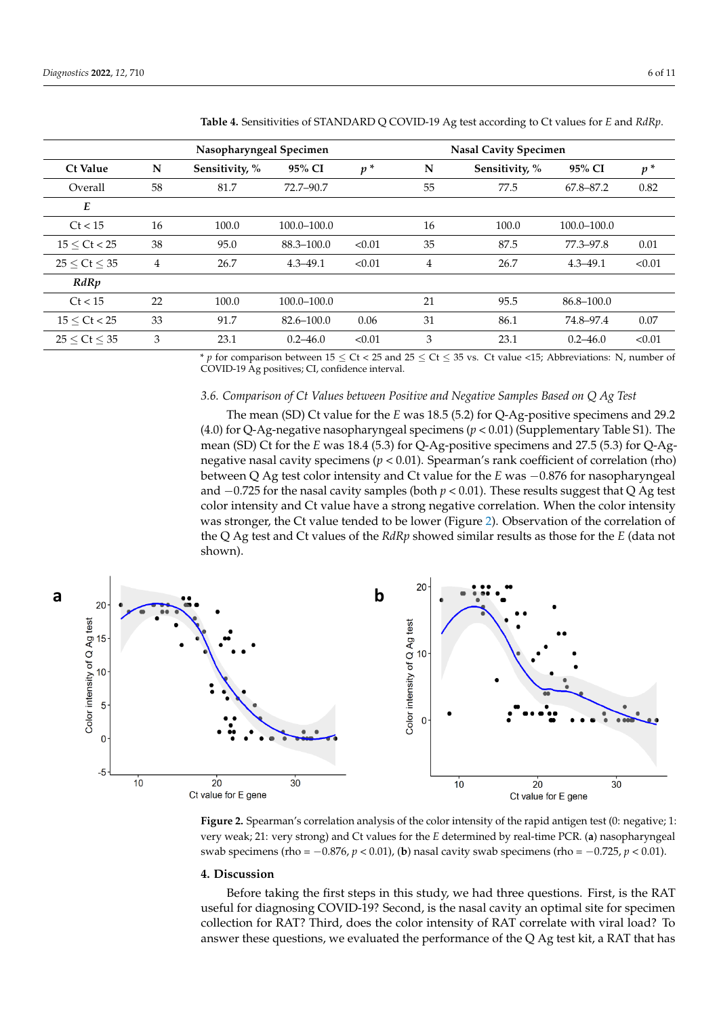| Nasopharyngeal Specimen |                |                |                | <b>Nasal Cavity Specimen</b> |    |                |              |        |
|-------------------------|----------------|----------------|----------------|------------------------------|----|----------------|--------------|--------|
| <b>Ct Value</b>         | N              | Sensitivity, % | 95% CI         | $p^*$                        | N  | Sensitivity, % | 95% CI       | $p^*$  |
| Overall                 | 58             | 81.7           | 72.7-90.7      |                              | 55 | 77.5           | 67.8-87.2    | 0.82   |
| E                       |                |                |                |                              |    |                |              |        |
| Ct < 15                 | 16             | 100.0          | 100.0-100.0    |                              | 16 | 100.0          | 100.0–100.0  |        |
| 15 < Ct < 25            | 38             | 95.0           | 88.3-100.0     | < 0.01                       | 35 | 87.5           | 77.3-97.8    | 0.01   |
| 25 < Ct < 35            | $\overline{4}$ | 26.7           | $4.3 - 49.1$   | < 0.01                       | 4  | 26.7           | $4.3 - 49.1$ | < 0.01 |
| RdRp                    |                |                |                |                              |    |                |              |        |
| Ct < 15                 | 22             | 100.0          | 100.0-100.0    |                              | 21 | 95.5           | 86.8-100.0   |        |
| 15 < Ct < 25            | 33             | 91.7           | $82.6 - 100.0$ | 0.06                         | 31 | 86.1           | 74.8–97.4    | 0.07   |
| 25 < Ct < 35            | 3              | 23.1           | $0.2 - 46.0$   | < 0.01                       | 3  | 23.1           | $0.2 - 46.0$ | < 0.01 |

*Diagnostics* **2022**, *12*, x FOR PEER REVIEW 6 of 11

<span id="page-5-0"></span>**Table 4.** Sensitivities of STANDARD Q COVID-19 Ag test according to Ct values for *E* and *RdRp*.

\* *p* for comparison between  $15 \leq Ct < 25$  and  $25 \leq Ct \leq 35$  vs. Ct value <15; Abbreviations: N, number of COVID-19 Ag positives; CI, confidence interval.  $\begin{bmatrix} P \end{bmatrix}$  for comparison between 15  $\leq$  C( $\leq$  25 and 25  $\leq$  C( $\leq$  53

# *3.6. Comparison of Ct Values between Positive and Negative Samples Based on Q Ag Test 3.6. Comparison of Ct Values between Positive and Negative Samples Based on Q Ag Test*

The mean (SD) Ct value for the *E* was 18.5 (5.2) for Q-Ag-positive specimens and 29.2 (4.0) for Q-Ag-negative nasopharyngeal specimens (*p* < 0.01) (Supplementary Table S1). The mean (SD) Ct for the *E* was 18.4 (5.3) for Q-Ag-positive specimens and 27.5 (5.3) for Q-Agnegative nasal cavity specimens (*p* < 0.01). Spearman's rank coefficient of correlation (rho) between Q Ag test color intensity and Ct value for the *E* was −0.876 for nasopharyngeal and −0.725 for the nasal cavity samples (both *p* < 0.01). These results suggest that Q Ag test color intensity and Ct value have a strong negative correlation. When the color intensity was stronger, the Ct value [te](#page-5-1)nded to be lower (Figure 2). Observation of the correlation of the Q Ag test and Ct values of the *RdRp* showed similar results as those for the *E* (data not shown).

<span id="page-5-1"></span>

very weak; 21: very strong) and Ct values for the E determined by real-time PCR. (a) nasopharyngeal 1: very weak; 21: very strong) and Ct values for the *E* determined by real-time PCR. (**a**) nasophaswab specimens (rho =  $-0.876$ ,  $p < 0.01$ ), (b) nasal cavity swab specimens (rho =  $-0.725$ ,  $p < 0.01$ ). **Figure 2.** Spearman's correlation analysis of the color intensity of the rapid antigen test (0: negative; 1:

# 4. Discussion

**4. Discussion** useful for diagnosing COVID-19? Second, is the nasal cavity an optimal site for specimen collection for RAT? Third, does the color intensity of RAT correlate with viral load? To answer these questions, we evaluated the performance of the Q Ag test kit, a RAT that has Before taking the first steps in this study, we had three questions. First, is the RAT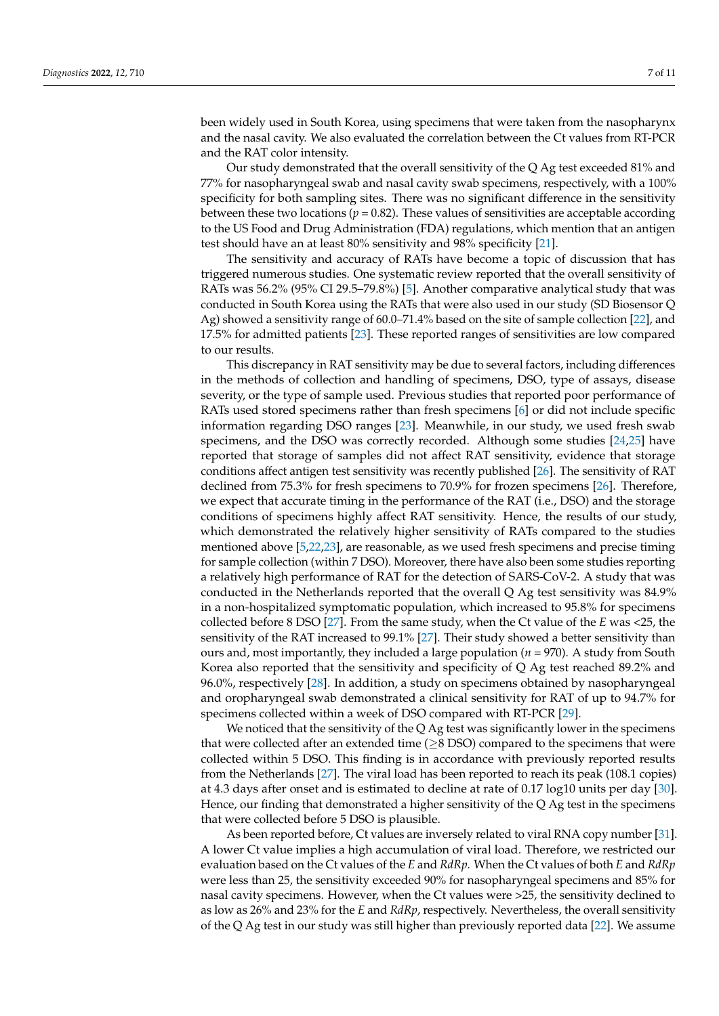been widely used in South Korea, using specimens that were taken from the nasopharynx and the nasal cavity. We also evaluated the correlation between the Ct values from RT-PCR and the RAT color intensity.

Our study demonstrated that the overall sensitivity of the Q Ag test exceeded 81% and 77% for nasopharyngeal swab and nasal cavity swab specimens, respectively, with a 100% specificity for both sampling sites. There was no significant difference in the sensitivity between these two locations ( $p = 0.82$ ). These values of sensitivities are acceptable according to the US Food and Drug Administration (FDA) regulations, which mention that an antigen test should have an at least 80% sensitivity and 98% specificity [\[21\]](#page-9-20).

The sensitivity and accuracy of RATs have become a topic of discussion that has triggered numerous studies. One systematic review reported that the overall sensitivity of RATs was 56.2% (95% CI 29.5–79.8%) [\[5\]](#page-9-4). Another comparative analytical study that was conducted in South Korea using the RATs that were also used in our study (SD Biosensor Q Ag) showed a sensitivity range of 60.0–71.4% based on the site of sample collection [\[22\]](#page-9-21), and 17.5% for admitted patients [\[23\]](#page-9-22). These reported ranges of sensitivities are low compared to our results.

This discrepancy in RAT sensitivity may be due to several factors, including differences in the methods of collection and handling of specimens, DSO, type of assays, disease severity, or the type of sample used. Previous studies that reported poor performance of RATs used stored specimens rather than fresh specimens [\[6\]](#page-9-5) or did not include specific information regarding DSO ranges [\[23\]](#page-9-22). Meanwhile, in our study, we used fresh swab specimens, and the DSO was correctly recorded. Although some studies [\[24](#page-9-23)[,25\]](#page-10-0) have reported that storage of samples did not affect RAT sensitivity, evidence that storage conditions affect antigen test sensitivity was recently published [\[26\]](#page-10-1). The sensitivity of RAT declined from 75.3% for fresh specimens to 70.9% for frozen specimens [\[26\]](#page-10-1). Therefore, we expect that accurate timing in the performance of the RAT (i.e., DSO) and the storage conditions of specimens highly affect RAT sensitivity. Hence, the results of our study, which demonstrated the relatively higher sensitivity of RATs compared to the studies mentioned above [\[5](#page-9-4)[,22](#page-9-21)[,23\]](#page-9-22), are reasonable, as we used fresh specimens and precise timing for sample collection (within 7 DSO). Moreover, there have also been some studies reporting a relatively high performance of RAT for the detection of SARS-CoV-2. A study that was conducted in the Netherlands reported that the overall Q Ag test sensitivity was 84.9% in a non-hospitalized symptomatic population, which increased to 95.8% for specimens collected before 8 DSO [\[27\]](#page-10-2). From the same study, when the Ct value of the *E* was <25, the sensitivity of the RAT increased to 99.1% [\[27\]](#page-10-2). Their study showed a better sensitivity than ours and, most importantly, they included a large population (*n* = 970). A study from South Korea also reported that the sensitivity and specificity of Q Ag test reached 89.2% and 96.0%, respectively [\[28\]](#page-10-3). In addition, a study on specimens obtained by nasopharyngeal and oropharyngeal swab demonstrated a clinical sensitivity for RAT of up to 94.7% for specimens collected within a week of DSO compared with RT-PCR [\[29\]](#page-10-4).

We noticed that the sensitivity of the Q Ag test was significantly lower in the specimens that were collected after an extended time ( $\geq$ 8 DSO) compared to the specimens that were collected within 5 DSO. This finding is in accordance with previously reported results from the Netherlands [\[27\]](#page-10-2). The viral load has been reported to reach its peak (108.1 copies) at 4.3 days after onset and is estimated to decline at rate of 0.17 log10 units per day [\[30\]](#page-10-5). Hence, our finding that demonstrated a higher sensitivity of the Q Ag test in the specimens that were collected before 5 DSO is plausible.

As been reported before, Ct values are inversely related to viral RNA copy number [\[31\]](#page-10-6). A lower Ct value implies a high accumulation of viral load. Therefore, we restricted our evaluation based on the Ct values of the *E* and *RdRp*. When the Ct values of both *E* and *RdRp* were less than 25, the sensitivity exceeded 90% for nasopharyngeal specimens and 85% for nasal cavity specimens. However, when the Ct values were >25, the sensitivity declined to as low as 26% and 23% for the *E* and *RdRp*, respectively. Nevertheless, the overall sensitivity of the Q Ag test in our study was still higher than previously reported data [\[22\]](#page-9-21). We assume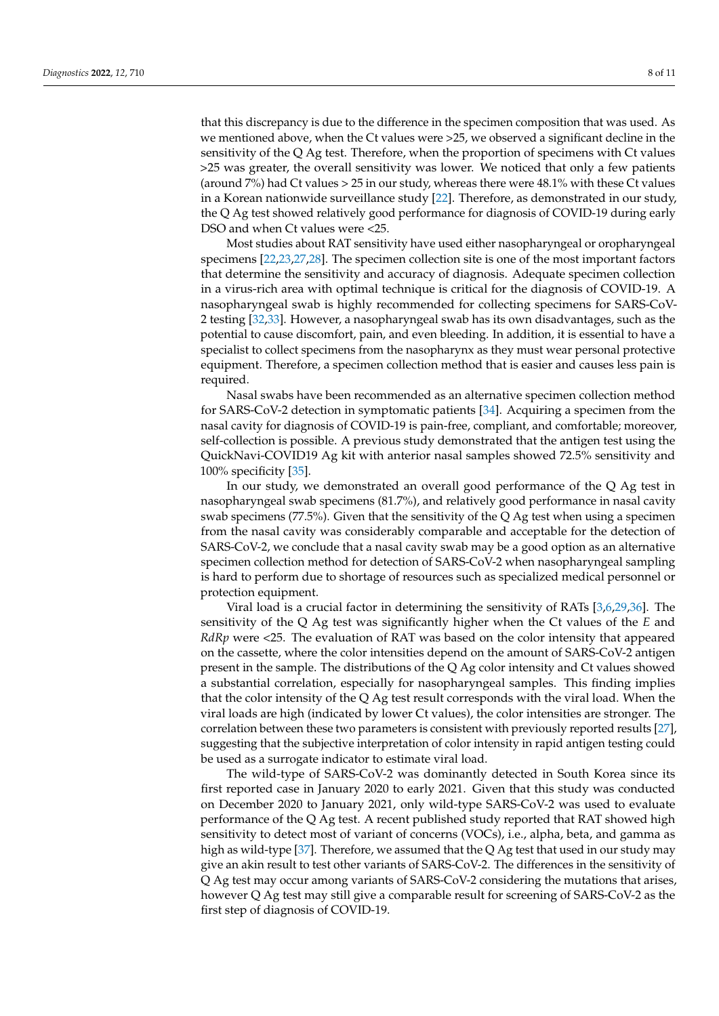that this discrepancy is due to the difference in the specimen composition that was used. As we mentioned above, when the Ct values were >25, we observed a significant decline in the sensitivity of the Q Ag test. Therefore, when the proportion of specimens with Ct values >25 was greater, the overall sensitivity was lower. We noticed that only a few patients (around 7%) had Ct values > 25 in our study, whereas there were 48.1% with these Ct values in a Korean nationwide surveillance study [\[22\]](#page-9-21). Therefore, as demonstrated in our study, the Q Ag test showed relatively good performance for diagnosis of COVID-19 during early DSO and when Ct values were <25.

Most studies about RAT sensitivity have used either nasopharyngeal or oropharyngeal specimens [\[22,](#page-9-21)[23,](#page-9-22)[27](#page-10-2)[,28\]](#page-10-3). The specimen collection site is one of the most important factors that determine the sensitivity and accuracy of diagnosis. Adequate specimen collection in a virus-rich area with optimal technique is critical for the diagnosis of COVID-19. A nasopharyngeal swab is highly recommended for collecting specimens for SARS-CoV-2 testing [\[32,](#page-10-7)[33\]](#page-10-8). However, a nasopharyngeal swab has its own disadvantages, such as the potential to cause discomfort, pain, and even bleeding. In addition, it is essential to have a specialist to collect specimens from the nasopharynx as they must wear personal protective equipment. Therefore, a specimen collection method that is easier and causes less pain is required.

Nasal swabs have been recommended as an alternative specimen collection method for SARS-CoV-2 detection in symptomatic patients [\[34\]](#page-10-9). Acquiring a specimen from the nasal cavity for diagnosis of COVID-19 is pain-free, compliant, and comfortable; moreover, self-collection is possible. A previous study demonstrated that the antigen test using the QuickNavi-COVID19 Ag kit with anterior nasal samples showed 72.5% sensitivity and 100% specificity [\[35\]](#page-10-10).

In our study, we demonstrated an overall good performance of the Q Ag test in nasopharyngeal swab specimens (81.7%), and relatively good performance in nasal cavity swab specimens (77.5%). Given that the sensitivity of the Q Ag test when using a specimen from the nasal cavity was considerably comparable and acceptable for the detection of SARS-CoV-2, we conclude that a nasal cavity swab may be a good option as an alternative specimen collection method for detection of SARS-CoV-2 when nasopharyngeal sampling is hard to perform due to shortage of resources such as specialized medical personnel or protection equipment.

Viral load is a crucial factor in determining the sensitivity of RATs [\[3,](#page-9-2)[6](#page-9-5)[,29](#page-10-4)[,36\]](#page-10-11). The sensitivity of the Q Ag test was significantly higher when the Ct values of the *E* and *RdRp* were <25. The evaluation of RAT was based on the color intensity that appeared on the cassette, where the color intensities depend on the amount of SARS-CoV-2 antigen present in the sample. The distributions of the Q Ag color intensity and Ct values showed a substantial correlation, especially for nasopharyngeal samples. This finding implies that the color intensity of the Q Ag test result corresponds with the viral load. When the viral loads are high (indicated by lower Ct values), the color intensities are stronger. The correlation between these two parameters is consistent with previously reported results [\[27\]](#page-10-2), suggesting that the subjective interpretation of color intensity in rapid antigen testing could be used as a surrogate indicator to estimate viral load.

The wild-type of SARS-CoV-2 was dominantly detected in South Korea since its first reported case in January 2020 to early 2021. Given that this study was conducted on December 2020 to January 2021, only wild-type SARS-CoV-2 was used to evaluate performance of the Q Ag test. A recent published study reported that RAT showed high sensitivity to detect most of variant of concerns (VOCs), i.e., alpha, beta, and gamma as high as wild-type [\[37\]](#page-10-12). Therefore, we assumed that the Q Ag test that used in our study may give an akin result to test other variants of SARS-CoV-2. The differences in the sensitivity of Q Ag test may occur among variants of SARS-CoV-2 considering the mutations that arises, however Q Ag test may still give a comparable result for screening of SARS-CoV-2 as the first step of diagnosis of COVID-19.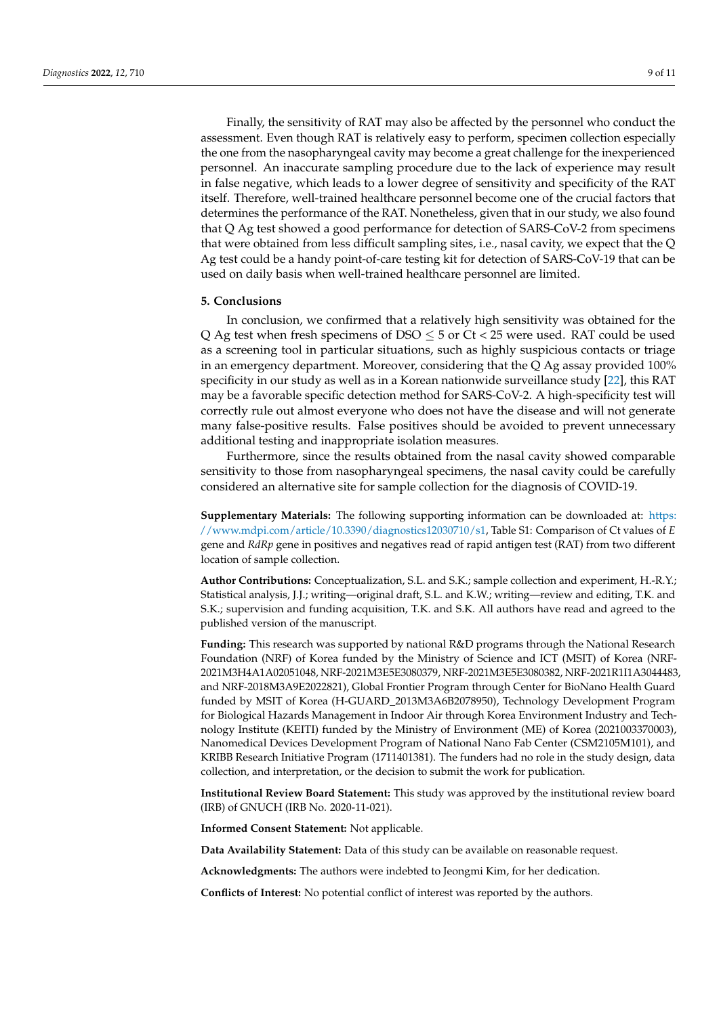Finally, the sensitivity of RAT may also be affected by the personnel who conduct the assessment. Even though RAT is relatively easy to perform, specimen collection especially the one from the nasopharyngeal cavity may become a great challenge for the inexperienced personnel. An inaccurate sampling procedure due to the lack of experience may result in false negative, which leads to a lower degree of sensitivity and specificity of the RAT itself. Therefore, well-trained healthcare personnel become one of the crucial factors that determines the performance of the RAT. Nonetheless, given that in our study, we also found that Q Ag test showed a good performance for detection of SARS-CoV-2 from specimens that were obtained from less difficult sampling sites, i.e., nasal cavity, we expect that the Q Ag test could be a handy point-of-care testing kit for detection of SARS-CoV-19 that can be used on daily basis when well-trained healthcare personnel are limited.

# **5. Conclusions**

In conclusion, we confirmed that a relatively high sensitivity was obtained for the Q Ag test when fresh specimens of DSO  $\leq$  5 or Ct < 25 were used. RAT could be used as a screening tool in particular situations, such as highly suspicious contacts or triage in an emergency department. Moreover, considering that the Q Ag assay provided 100% specificity in our study as well as in a Korean nationwide surveillance study [\[22\]](#page-9-21), this RAT may be a favorable specific detection method for SARS-CoV-2. A high-specificity test will correctly rule out almost everyone who does not have the disease and will not generate many false-positive results. False positives should be avoided to prevent unnecessary additional testing and inappropriate isolation measures.

Furthermore, since the results obtained from the nasal cavity showed comparable sensitivity to those from nasopharyngeal specimens, the nasal cavity could be carefully considered an alternative site for sample collection for the diagnosis of COVID-19.

**Supplementary Materials:** The following supporting information can be downloaded at: [https:](https://www.mdpi.com/article/10.3390/diagnostics12030710/s1) [//www.mdpi.com/article/10.3390/diagnostics12030710/s1,](https://www.mdpi.com/article/10.3390/diagnostics12030710/s1) Table S1: Comparison of Ct values of *E* gene and *RdRp* gene in positives and negatives read of rapid antigen test (RAT) from two different location of sample collection.

**Author Contributions:** Conceptualization, S.L. and S.K.; sample collection and experiment, H.-R.Y.; Statistical analysis, J.J.; writing—original draft, S.L. and K.W.; writing—review and editing, T.K. and S.K.; supervision and funding acquisition, T.K. and S.K. All authors have read and agreed to the published version of the manuscript.

**Funding:** This research was supported by national R&D programs through the National Research Foundation (NRF) of Korea funded by the Ministry of Science and ICT (MSIT) of Korea (NRF-2021M3H4A1A02051048, NRF-2021M3E5E3080379, NRF-2021M3E5E3080382, NRF-2021R1I1A3044483, and NRF-2018M3A9E2022821), Global Frontier Program through Center for BioNano Health Guard funded by MSIT of Korea (H-GUARD\_2013M3A6B2078950), Technology Development Program for Biological Hazards Management in Indoor Air through Korea Environment Industry and Technology Institute (KEITI) funded by the Ministry of Environment (ME) of Korea (2021003370003), Nanomedical Devices Development Program of National Nano Fab Center (CSM2105M101), and KRIBB Research Initiative Program (1711401381). The funders had no role in the study design, data collection, and interpretation, or the decision to submit the work for publication.

**Institutional Review Board Statement:** This study was approved by the institutional review board (IRB) of GNUCH (IRB No. 2020-11-021).

**Informed Consent Statement:** Not applicable.

**Data Availability Statement:** Data of this study can be available on reasonable request.

**Acknowledgments:** The authors were indebted to Jeongmi Kim, for her dedication.

**Conflicts of Interest:** No potential conflict of interest was reported by the authors.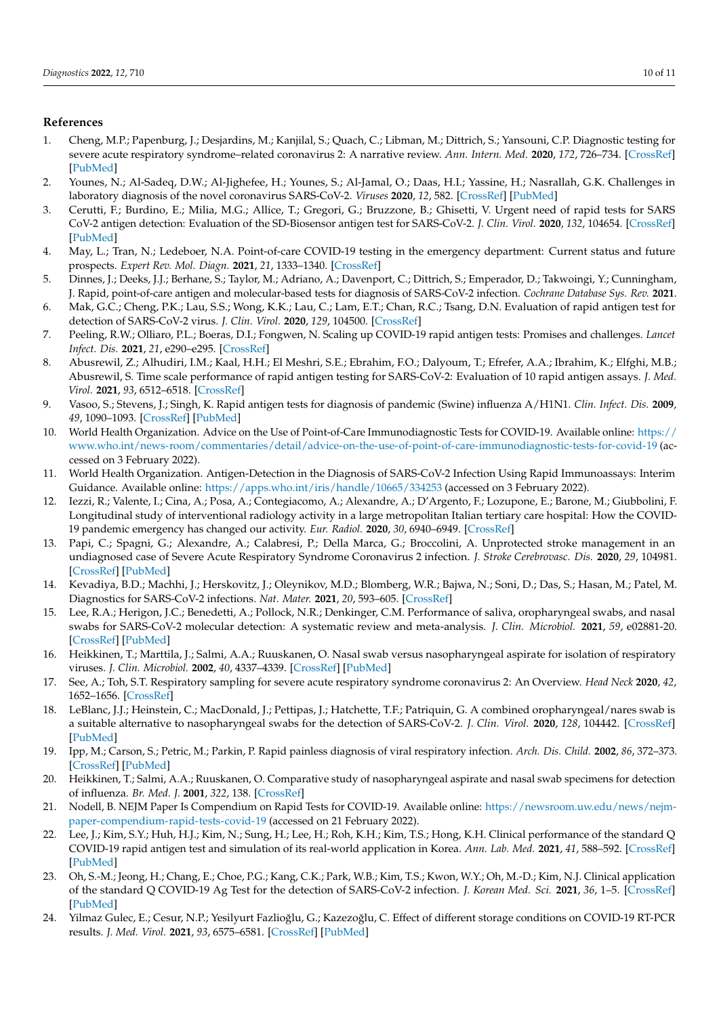# **References**

- <span id="page-9-0"></span>1. Cheng, M.P.; Papenburg, J.; Desjardins, M.; Kanjilal, S.; Quach, C.; Libman, M.; Dittrich, S.; Yansouni, C.P. Diagnostic testing for severe acute respiratory syndrome–related coronavirus 2: A narrative review. *Ann. Intern. Med.* **2020**, *172*, 726–734. [\[CrossRef\]](http://doi.org/10.7326/M20-1301) [\[PubMed\]](http://www.ncbi.nlm.nih.gov/pubmed/32282894)
- <span id="page-9-1"></span>2. Younes, N.; Al-Sadeq, D.W.; Al-Jighefee, H.; Younes, S.; Al-Jamal, O.; Daas, H.I.; Yassine, H.; Nasrallah, G.K. Challenges in laboratory diagnosis of the novel coronavirus SARS-CoV-2. *Viruses* **2020**, *12*, 582. [\[CrossRef\]](http://doi.org/10.3390/v12060582) [\[PubMed\]](http://www.ncbi.nlm.nih.gov/pubmed/32466458)
- <span id="page-9-2"></span>3. Cerutti, F.; Burdino, E.; Milia, M.G.; Allice, T.; Gregori, G.; Bruzzone, B.; Ghisetti, V. Urgent need of rapid tests for SARS CoV-2 antigen detection: Evaluation of the SD-Biosensor antigen test for SARS-CoV-2. *J. Clin. Virol.* **2020**, *132*, 104654. [\[CrossRef\]](http://doi.org/10.1016/j.jcv.2020.104654) [\[PubMed\]](http://www.ncbi.nlm.nih.gov/pubmed/33053494)
- <span id="page-9-3"></span>4. May, L.; Tran, N.; Ledeboer, N.A. Point-of-care COVID-19 testing in the emergency department: Current status and future prospects. *Expert Rev. Mol. Diagn.* **2021**, *21*, 1333–1340. [\[CrossRef\]](http://doi.org/10.1080/14737159.2021.2005582)
- <span id="page-9-4"></span>5. Dinnes, J.; Deeks, J.J.; Berhane, S.; Taylor, M.; Adriano, A.; Davenport, C.; Dittrich, S.; Emperador, D.; Takwoingi, Y.; Cunningham, J. Rapid, point-of-care antigen and molecular-based tests for diagnosis of SARS-CoV-2 infection. *Cochrane Database Sys. Rev.* **2021**.
- <span id="page-9-5"></span>6. Mak, G.C.; Cheng, P.K.; Lau, S.S.; Wong, K.K.; Lau, C.; Lam, E.T.; Chan, R.C.; Tsang, D.N. Evaluation of rapid antigen test for detection of SARS-CoV-2 virus. *J. Clin. Virol.* **2020**, *129*, 104500. [\[CrossRef\]](http://doi.org/10.1016/j.jcv.2020.104500)
- <span id="page-9-6"></span>7. Peeling, R.W.; Olliaro, P.L.; Boeras, D.I.; Fongwen, N. Scaling up COVID-19 rapid antigen tests: Promises and challenges. *Lancet Infect. Dis.* **2021**, *21*, e290–e295. [\[CrossRef\]](http://doi.org/10.1016/S1473-3099(21)00048-7)
- <span id="page-9-7"></span>8. Abusrewil, Z.; Alhudiri, I.M.; Kaal, H.H.; El Meshri, S.E.; Ebrahim, F.O.; Dalyoum, T.; Efrefer, A.A.; Ibrahim, K.; Elfghi, M.B.; Abusrewil, S. Time scale performance of rapid antigen testing for SARS-CoV-2: Evaluation of 10 rapid antigen assays. *J. Med. Virol.* **2021**, *93*, 6512–6518. [\[CrossRef\]](http://doi.org/10.1002/jmv.27186)
- <span id="page-9-8"></span>9. Vasoo, S.; Stevens, J.; Singh, K. Rapid antigen tests for diagnosis of pandemic (Swine) influenza A/H1N1. *Clin. Infect. Dis.* **2009**, *49*, 1090–1093. [\[CrossRef\]](http://doi.org/10.1086/644743) [\[PubMed\]](http://www.ncbi.nlm.nih.gov/pubmed/19725784)
- <span id="page-9-9"></span>10. World Health Organization. Advice on the Use of Point-of-Care Immunodiagnostic Tests for COVID-19. Available online: [https://](https://www.who.int/news-room/commentaries/detail/advice-on-the-use-of-point-of-care-immunodiagnostic-tests-for-covid-19) [www.who.int/news-room/commentaries/detail/advice-on-the-use-of-point-of-care-immunodiagnostic-tests-for-covid-19](https://www.who.int/news-room/commentaries/detail/advice-on-the-use-of-point-of-care-immunodiagnostic-tests-for-covid-19) (accessed on 3 February 2022).
- <span id="page-9-10"></span>11. World Health Organization. Antigen-Detection in the Diagnosis of SARS-CoV-2 Infection Using Rapid Immunoassays: Interim Guidance. Available online: <https://apps.who.int/iris/handle/10665/334253> (accessed on 3 February 2022).
- <span id="page-9-11"></span>12. Iezzi, R.; Valente, I.; Cina, A.; Posa, A.; Contegiacomo, A.; Alexandre, A.; D'Argento, F.; Lozupone, E.; Barone, M.; Giubbolini, F. Longitudinal study of interventional radiology activity in a large metropolitan Italian tertiary care hospital: How the COVID-19 pandemic emergency has changed our activity. *Eur. Radiol.* **2020**, *30*, 6940–6949. [\[CrossRef\]](http://doi.org/10.1007/s00330-020-07041-y)
- <span id="page-9-12"></span>13. Papi, C.; Spagni, G.; Alexandre, A.; Calabresi, P.; Della Marca, G.; Broccolini, A. Unprotected stroke management in an undiagnosed case of Severe Acute Respiratory Syndrome Coronavirus 2 infection. *J. Stroke Cerebrovasc. Dis.* **2020**, *29*, 104981. [\[CrossRef\]](http://doi.org/10.1016/j.jstrokecerebrovasdis.2020.104981) [\[PubMed\]](http://www.ncbi.nlm.nih.gov/pubmed/32807416)
- <span id="page-9-13"></span>14. Kevadiya, B.D.; Machhi, J.; Herskovitz, J.; Oleynikov, M.D.; Blomberg, W.R.; Bajwa, N.; Soni, D.; Das, S.; Hasan, M.; Patel, M. Diagnostics for SARS-CoV-2 infections. *Nat. Mater.* **2021**, *20*, 593–605. [\[CrossRef\]](http://doi.org/10.1038/s41563-020-00906-z)
- <span id="page-9-14"></span>15. Lee, R.A.; Herigon, J.C.; Benedetti, A.; Pollock, N.R.; Denkinger, C.M. Performance of saliva, oropharyngeal swabs, and nasal swabs for SARS-CoV-2 molecular detection: A systematic review and meta-analysis. *J. Clin. Microbiol.* **2021**, *59*, e02881-20. [\[CrossRef\]](http://doi.org/10.1128/JCM.02881-20) [\[PubMed\]](http://www.ncbi.nlm.nih.gov/pubmed/33504593)
- <span id="page-9-15"></span>16. Heikkinen, T.; Marttila, J.; Salmi, A.A.; Ruuskanen, O. Nasal swab versus nasopharyngeal aspirate for isolation of respiratory viruses. *J. Clin. Microbiol.* **2002**, *40*, 4337–4339. [\[CrossRef\]](http://doi.org/10.1128/JCM.40.11.4337-4339.2002) [\[PubMed\]](http://www.ncbi.nlm.nih.gov/pubmed/12409425)
- <span id="page-9-16"></span>17. See, A.; Toh, S.T. Respiratory sampling for severe acute respiratory syndrome coronavirus 2: An Overview. *Head Neck* **2020**, *42*, 1652–1656. [\[CrossRef\]](http://doi.org/10.1002/hed.26232)
- <span id="page-9-17"></span>18. LeBlanc, J.J.; Heinstein, C.; MacDonald, J.; Pettipas, J.; Hatchette, T.F.; Patriquin, G. A combined oropharyngeal/nares swab is a suitable alternative to nasopharyngeal swabs for the detection of SARS-CoV-2. *J. Clin. Virol.* **2020**, *128*, 104442. [\[CrossRef\]](http://doi.org/10.1016/j.jcv.2020.104442) [\[PubMed\]](http://www.ncbi.nlm.nih.gov/pubmed/32540034)
- <span id="page-9-18"></span>19. Ipp, M.; Carson, S.; Petric, M.; Parkin, P. Rapid painless diagnosis of viral respiratory infection. *Arch. Dis. Child.* **2002**, *86*, 372–373. [\[CrossRef\]](http://doi.org/10.1136/adc.86.5.372) [\[PubMed\]](http://www.ncbi.nlm.nih.gov/pubmed/11970936)
- <span id="page-9-19"></span>20. Heikkinen, T.; Salmi, A.A.; Ruuskanen, O. Comparative study of nasopharyngeal aspirate and nasal swab specimens for detection of influenza. *Br. Med. J.* **2001**, *322*, 138. [\[CrossRef\]](http://doi.org/10.1136/bmj.322.7279.138)
- <span id="page-9-20"></span>21. Nodell, B. NEJM Paper Is Compendium on Rapid Tests for COVID-19. Available online: [https://newsroom.uw.edu/news/nejm](https://newsroom.uw.edu/news/nejm-paper-compendium-rapid-tests-covid-19)[paper-compendium-rapid-tests-covid-19](https://newsroom.uw.edu/news/nejm-paper-compendium-rapid-tests-covid-19) (accessed on 21 February 2022).
- <span id="page-9-21"></span>22. Lee, J.; Kim, S.Y.; Huh, H.J.; Kim, N.; Sung, H.; Lee, H.; Roh, K.H.; Kim, T.S.; Hong, K.H. Clinical performance of the standard Q COVID-19 rapid antigen test and simulation of its real-world application in Korea. *Ann. Lab. Med.* **2021**, *41*, 588–592. [\[CrossRef\]](http://doi.org/10.3343/alm.2021.41.6.588) [\[PubMed\]](http://www.ncbi.nlm.nih.gov/pubmed/34108286)
- <span id="page-9-22"></span>23. Oh, S.-M.; Jeong, H.; Chang, E.; Choe, P.G.; Kang, C.K.; Park, W.B.; Kim, T.S.; Kwon, W.Y.; Oh, M.-D.; Kim, N.J. Clinical application of the standard Q COVID-19 Ag Test for the detection of SARS-CoV-2 infection. *J. Korean Med. Sci.* **2021**, *36*, 1–5. [\[CrossRef\]](http://doi.org/10.3346/jkms.2021.36.e101) [\[PubMed\]](http://www.ncbi.nlm.nih.gov/pubmed/33847084)
- <span id="page-9-23"></span>24. Yilmaz Gulec, E.; Cesur, N.P.; Yesilyurt Fazlioğlu, G.; Kazezoğlu, C. Effect of different storage conditions on COVID-19 RT-PCR results. *J. Med. Virol.* **2021**, *93*, 6575–6581. [\[CrossRef\]](http://doi.org/10.1002/jmv.27204) [\[PubMed\]](http://www.ncbi.nlm.nih.gov/pubmed/34260086)